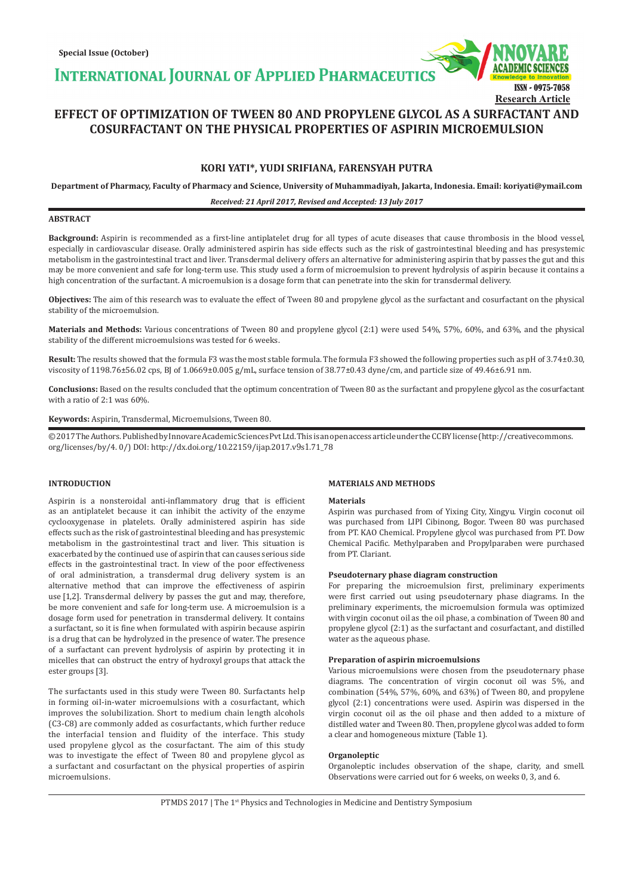**INTERNATIONAL JOURNAL OF APPLIED PHARMACEUTIC** 



# **EFFECT OF OPTIMIZATION OF TWEEN 80 AND PROPYLENE GLYCOL AS A SURFACTANT AND COSURFACTANT ON THE PHYSICAL PROPERTIES OF ASPIRIN MICROEMULSION**

# **KORI YATI\*, YUDI SRIFIANA, FARENSYAH PUTRA**

**Department of Pharmacy, Faculty of Pharmacy and Science, University of Muhammadiyah, Jakarta, Indonesia. Email: koriyati@ymail.com**

# *Received: 21 April 2017, Revised and Accepted: 13 July 2017*

# **ABSTRACT**

**Background:** Aspirin is recommended as a first-line antiplatelet drug for all types of acute diseases that cause thrombosis in the blood vessel, especially in cardiovascular disease. Orally administered aspirin has side effects such as the risk of gastrointestinal bleeding and has presystemic metabolism in the gastrointestinal tract and liver. Transdermal delivery offers an alternative for administering aspirin that by passes the gut and this may be more convenient and safe for long-term use. This study used a form of microemulsion to prevent hydrolysis of aspirin because it contains a high concentration of the surfactant. A microemulsion is a dosage form that can penetrate into the skin for transdermal delivery.

**Objectives:** The aim of this research was to evaluate the effect of Tween 80 and propylene glycol as the surfactant and cosurfactant on the physical stability of the microemulsion.

**Materials and Methods:** Various concentrations of Tween 80 and propylene glycol (2:1) were used 54%, 57%, 60%, and 63%, and the physical stability of the different microemulsions was tested for 6 weeks.

**Result:** The results showed that the formula F3 was the most stable formula. The formula F3 showed the following properties such as pH of 3.74±0.30, viscosity of 1198.76±56.02 cps, BJ of 1.0669±0.005 g/mL, surface tension of 38.77±0.43 dyne/cm, and particle size of 49.46±6.91 nm.

**Conclusions:** Based on the results concluded that the optimum concentration of Tween 80 as the surfactant and propylene glycol as the cosurfactant with a ratio of 2:1 was 60%.

### **Keywords:** Aspirin, Transdermal, Microemulsions, Tween 80.

© 2017 The Authors. Published by Innovare Academic Sciences Pvt Ltd. This is an open access article under the CC BY license (http://creativecommons. org/licenses/by/4. 0/) DOI: http://dx.doi.org/10.22159/ijap.2017.v9s1.71\_78

# **INTRODUCTION**

Aspirin is a nonsteroidal anti-inflammatory drug that is efficient as an antiplatelet because it can inhibit the activity of the enzyme cyclooxygenase in platelets. Orally administered aspirin has side effects such as the risk of gastrointestinal bleeding and has presystemic metabolism in the gastrointestinal tract and liver. This situation is exacerbated by the continued use of aspirin that can causes serious side effects in the gastrointestinal tract. In view of the poor effectiveness of oral administration, a transdermal drug delivery system is an alternative method that can improve the effectiveness of aspirin use [1,2]. Transdermal delivery by passes the gut and may, therefore, be more convenient and safe for long-term use. A microemulsion is a dosage form used for penetration in transdermal delivery. It contains a surfactant, so it is fine when formulated with aspirin because aspirin is a drug that can be hydrolyzed in the presence of water. The presence of a surfactant can prevent hydrolysis of aspirin by protecting it in micelles that can obstruct the entry of hydroxyl groups that attack the ester groups [3].

The surfactants used in this study were Tween 80. Surfactants help in forming oil-in-water microemulsions with a cosurfactant, which improves the solubilization. Short to medium chain length alcohols (C3-C8) are commonly added as cosurfactants, which further reduce the interfacial tension and fluidity of the interface. This study used propylene glycol as the cosurfactant. The aim of this study was to investigate the effect of Tween 80 and propylene glycol as a surfactant and cosurfactant on the physical properties of aspirin microemulsions.

### **MATERIALS AND METHODS**

### **Materials**

Aspirin was purchased from of Yixing City, Xingyu. Virgin coconut oil was purchased from LIPI Cibinong, Bogor. Tween 80 was purchased from PT. KAO Chemical. Propylene glycol was purchased from PT. Dow Chemical Pacific. Methylparaben and Propylparaben were purchased from PT. Clariant.

### **Pseudoternary phase diagram construction**

For preparing the microemulsion first, preliminary experiments were first carried out using pseudoternary phase diagrams. In the preliminary experiments, the microemulsion formula was optimized with virgin coconut oil as the oil phase, a combination of Tween 80 and propylene glycol (2:1) as the surfactant and cosurfactant, and distilled water as the aqueous phase.

# **Preparation of aspirin microemulsions**

Various microemulsions were chosen from the pseudoternary phase diagrams. The concentration of virgin coconut oil was 5%, and combination (54%, 57%, 60%, and 63%) of Tween 80, and propylene glycol (2:1) concentrations were used. Aspirin was dispersed in the virgin coconut oil as the oil phase and then added to a mixture of distilled water and Tween 80. Then, propylene glycol was added to form a clear and homogeneous mixture (Table 1).

### **Organoleptic**

Organoleptic includes observation of the shape, clarity, and smell. Observations were carried out for 6 weeks, on weeks 0, 3, and 6.

PTMDS 2017 | The 1<sup>st</sup> Physics and Technologies in Medicine and Dentistry Symposium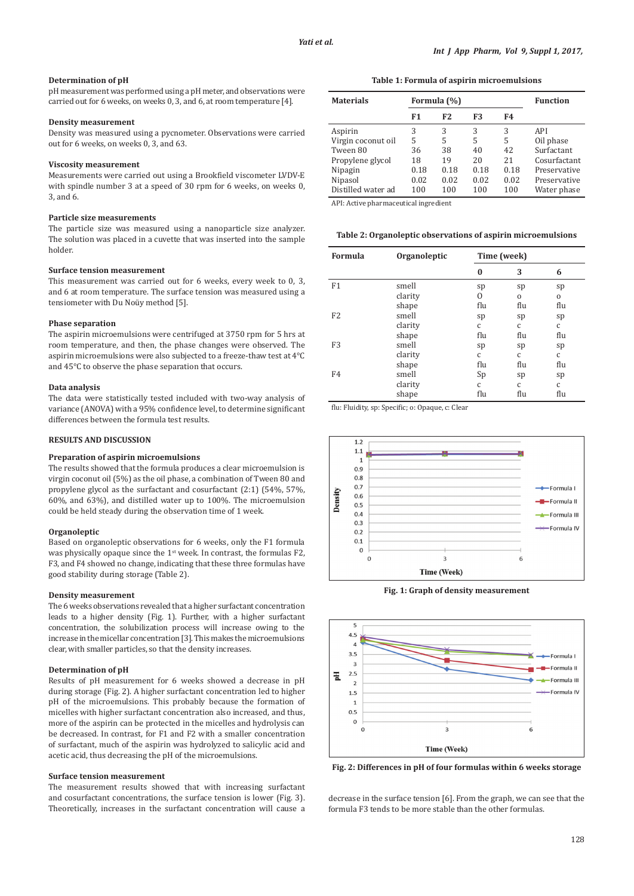# **Determination of pH**

pH measurement was performed using a pH meter, and observations were carried out for 6 weeks, on weeks 0, 3, and 6, at room temperature [4].

# **Density measurement**

Density was measured using a pycnometer. Observations were carried out for 6 weeks, on weeks 0, 3, and 63.

# **Viscosity measurement**

Measurements were carried out using a Brookfield viscometer LVDV-E with spindle number 3 at a speed of 30 rpm for 6 weeks, on weeks 0, 3, and 6.

# **Particle size measurements**

The particle size was measured using a nanoparticle size analyzer. The solution was placed in a cuvette that was inserted into the sample holder.

#### **Surface tension measurement**

This measurement was carried out for 6 weeks, every week to 0, 3, and 6 at room temperature. The surface tension was measured using a tensiometer with Du Noüy method [5].

#### **Phase separation**

The aspirin microemulsions were centrifuged at 3750 rpm for 5 hrs at room temperature, and then, the phase changes were observed. The aspirin microemulsions were also subjected to a freeze-thaw test at 4°C and 45°C to observe the phase separation that occurs.

#### **Data analysis**

The data were statistically tested included with two-way analysis of variance (ANOVA) with a 95% confidence level, to determine significant differences between the formula test results.

# **RESULTS AND DISCUSSION**

# **Preparation of aspirin microemulsions**

The results showed that the formula produces a clear microemulsion is virgin coconut oil (5%) as the oil phase, a combination of Tween 80 and propylene glycol as the surfactant and cosurfactant (2:1) (54%, 57%, 60%, and 63%), and distilled water up to 100%. The microemulsion could be held steady during the observation time of 1 week.

### **Organoleptic**

Based on organoleptic observations for 6 weeks, only the F1 formula was physically opaque since the  $1<sup>st</sup>$  week. In contrast, the formulas F2, F3, and F4 showed no change, indicating that these three formulas have good stability during storage (Table 2).

## **Density measurement**

The 6 weeks observations revealed that a higher surfactant concentration leads to a higher density (Fig. 1). Further, with a higher surfactant concentration, the solubilization process will increase owing to the increase in the micellar concentration [3]. This makes the microemulsions clear, with smaller particles, so that the density increases.

# **Determination of pH**

Results of pH measurement for 6 weeks showed a decrease in pH during storage (Fig. 2). A higher surfactant concentration led to higher pH of the microemulsions. This probably because the formation of micelles with higher surfactant concentration also increased, and thus, more of the aspirin can be protected in the micelles and hydrolysis can be decreased. In contrast, for F1 and F2 with a smaller concentration of surfactant, much of the aspirin was hydrolyzed to salicylic acid and acetic acid, thus decreasing the pH of the microemulsions.

#### **Surface tension measurement**

The measurement results showed that with increasing surfactant and cosurfactant concentrations, the surface tension is lower (Fig. 3). Theoretically, increases in the surfactant concentration will cause a

**Table 1: Formula of aspirin microemulsions**

| <b>Materials</b>   | Formula (%) |                |      | <b>Function</b> |              |
|--------------------|-------------|----------------|------|-----------------|--------------|
|                    | F1          | F <sub>2</sub> | F3   | F4              |              |
| Aspirin            | 3           | 3              | 3    | 3               | API          |
| Virgin coconut oil | 5           | 5              | 5    | 5               | Oil phase    |
| Tween 80           | 36          | 38             | 40   | 42              | Surfactant   |
| Propylene glycol   | 18          | 19             | 20   | 2.1             | Cosurfactant |
| Nipagin            | 0.18        | 0.18           | 0.18 | 0.18            | Preservative |
| Nipasol            | 0.02        | 0.02           | 0.02 | 0.02            | Preservative |
| Distilled water ad | 100         | 100            | 100  | 100             | Water phase  |

API: Active pharmaceutical ingredient

**Table 2: Organoleptic observations of aspirin microemulsions**

| <b>Formula</b> | Organoleptic | Time (week)  |              |     |
|----------------|--------------|--------------|--------------|-----|
|                |              | 0            | 3            | 6   |
| F1             | smell        | sp           | sp           | sp  |
|                | clarity      | 0            | $\Omega$     | 0   |
|                | shape        | flu          | flu          | flu |
| F <sub>2</sub> | smell        | sp           | sp           | sp  |
|                | clarity      | $\mathsf{C}$ | $\mathsf{C}$ | C   |
|                | shape        | flu          | flu          | flu |
| F <sub>3</sub> | smell        | sp           | sp           | sp  |
|                | clarity      | $\mathsf{C}$ | $\mathsf{C}$ | C   |
|                | shape        | flu          | flu          | flu |
| F <sub>4</sub> | smell        | Sp           | sp           | sp  |
|                | clarity      | $\mathsf{C}$ | $\mathsf{C}$ | C   |
|                | shape        | flu          | flu          | flu |

flu: Fluidity, sp: Specific; o: Opaque, c: Clear



**Fig. 1: Graph of density measurement**



**Fig. 2: Differences in pH of four formulas within 6 weeks storage**

decrease in the surface tension [6]. From the graph, we can see that the formula F3 tends to be more stable than the other formulas.